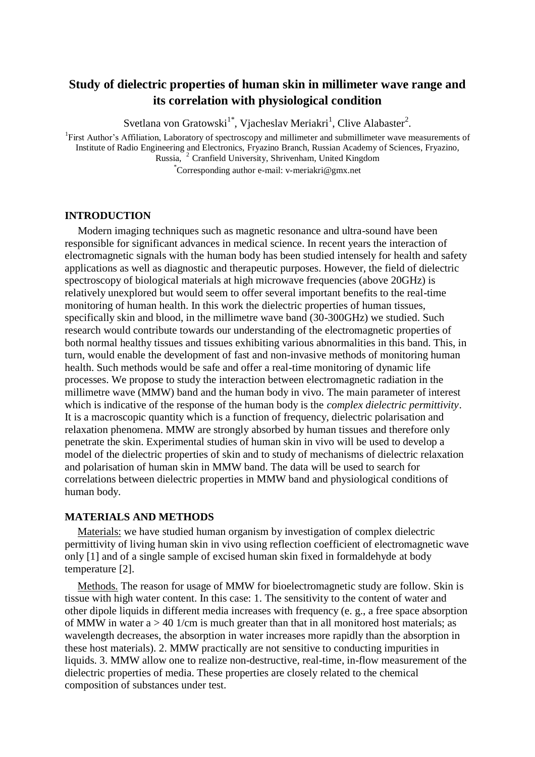# **Study of dielectric properties of human skin in millimeter wave range and its correlation with physiological condition**

Svetlana von Gratowski<sup>1\*</sup>, Vjacheslav Meriakri<sup>1</sup>, Clive Alabaster<sup>2</sup>.

<sup>1</sup>First Author's Affiliation, Laboratory of spectroscopy and millimeter and submillimeter wave measurements of Institute of Radio Engineering and Electronics, Fryazino Branch, Russian Academy of Sciences, Fryazino, Russia, <sup>2</sup>Cranfield University, Shrivenham, United Kingdom \*Corresponding author e-mail: v-meriakri@gmx.net

**INTRODUCTION**

Modern imaging techniques such as magnetic resonance and ultra-sound have been responsible for significant advances in medical science. In recent years the interaction of electromagnetic signals with the human body has been studied intensely for health and safety applications as well as diagnostic and therapeutic purposes. However, the field of dielectric spectroscopy of biological materials at high microwave frequencies (above 20GHz) is relatively unexplored but would seem to offer several important benefits to the real-time monitoring of human health. In this work the dielectric properties of human tissues, specifically skin and blood, in the millimetre wave band (30-300GHz) we studied. Such research would contribute towards our understanding of the electromagnetic properties of both normal healthy tissues and tissues exhibiting various abnormalities in this band. This, in turn, would enable the development of fast and non-invasive methods of monitoring human health. Such methods would be safe and offer a real-time monitoring of dynamic life processes. We propose to study the interaction between electromagnetic radiation in the millimetre wave (MMW) band and the human body in vivo. The main parameter of interest which is indicative of the response of the human body is the *complex dielectric permittivity*. It is a macroscopic quantity which is a function of frequency, dielectric polarisation and relaxation phenomena. MMW are strongly absorbed by human tissues and therefore only penetrate the skin. Experimental studies of human skin in vivo will be used to develop a model of the dielectric properties of skin and to study of mechanisms of dielectric relaxation and polarisation of human skin in MMW band. The data will be used to search for correlations between dielectric properties in MMW band and physiological conditions of human body.

### **MATERIALS AND METHODS**

Materials: we have studied human organism by investigation of complex dielectric permittivity of living human skin in vivo using reflection coefficient of electromagnetic wave only [1] and of a single sample of excised human skin fixed in formaldehyde at body temperature [2].

Methods. The reason for usage of MMW for bioelectromagnetic study are follow. Skin is tissue with high water content. In this case: 1. The sensitivity to the content of water and other dipole liquids in different media increases with frequency (e. g., a free space absorption of MMW in water  $a > 40$  1/cm is much greater than that in all monitored host materials; as wavelength decreases, the absorption in water increases more rapidly than the absorption in these host materials). 2. MMW practically are not sensitive to conducting impurities in liquids. 3. MMW allow one to realize non-destructive, real-time, in-flow measurement of the dielectric properties of media. These properties are closely related to the chemical composition of substances under test.